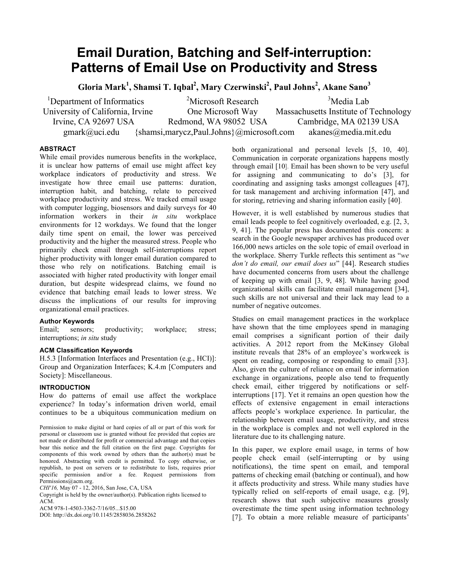# **Email Duration, Batching and Self-interruption: Patterns of Email Use on Productivity and Stress**

**Gloria Mark<sup>1</sup> , Shamsi T. Iqbal2 , Mary Czerwinski2 , Paul Johns<sup>2</sup> , Akane Sano3**

 $1$ Department of Informatics  $2$  $<sup>2</sup>$ Microsoft Research</sup> <sup>3</sup>Media Lab University of California, Irvine One Microsoft Way Massachusetts Institute of Technology Irvine, CA 92697 USA Redmond, WA 98052 USA Cambridge, MA 02139 USA gmark@uci.edu {shamsi,marycz,Paul.Johns}@microsoft.com akanes@media.mit.edu

# **ABSTRACT**

While email provides numerous benefits in the workplace, it is unclear how patterns of email use might affect key workplace indicators of productivity and stress. We investigate how three email use patterns: duration, interruption habit, and batching, relate to perceived workplace productivity and stress. We tracked email usage with computer logging, biosensors and daily surveys for 40 information workers in their *in situ* workplace environments for 12 workdays. We found that the longer daily time spent on email, the lower was perceived productivity and the higher the measured stress. People who primarily check email through self-interruptions report higher productivity with longer email duration compared to those who rely on notifications. Batching email is associated with higher rated productivity with longer email duration, but despite widespread claims, we found no evidence that batching email leads to lower stress. We discuss the implications of our results for improving organizational email practices.

# **Author Keywords**

Email; sensors; productivity; workplace; stress; interruptions; *in situ* study

# **ACM Classification Keywords**

H.5.3 [Information Interfaces and Presentation (e.g., HCI)]: Group and Organization Interfaces; K.4.m [Computers and Society]: Miscellaneous.

# **INTRODUCTION**

How do patterns of email use affect the workplace experience? In today's information driven world, email continues to be a ubiquitous communication medium on

*CHI'16,* May 07 - 12, 2016, San Jose, CA, USA

Copyright is held by the owner/author(s). Publication rights licensed to ACM.

ACM 978-1-4503-3362-7/16/05...\$15.00

DOI: http://dx.doi.org/10.1145/2858036.2858262

both organizational and personal levels [5, 10, 40]. Communication in corporate organizations happens mostly through email [10]. Email has been shown to be very useful for assigning and communicating to do's [3], for coordinating and assigning tasks amongst colleagues [47], for task management and archiving information [47], and for storing, retrieving and sharing information easily [40].

However, it is well established by numerous studies that email leads people to feel cognitively overloaded, e.g. [2, 3, 9, 41]. The popular press has documented this concern: a search in the Google newspaper archives has produced over 166,000 news articles on the sole topic of email overload in the workplace. Sherry Turkle reflects this sentiment as "*we don't do email, our email does us*" [44]. Research studies have documented concerns from users about the challenge of keeping up with email [3, 9, 48]. While having good organizational skills can facilitate email management [34], such skills are not universal and their lack may lead to a number of negative outcomes.

Studies on email management practices in the workplace have shown that the time employees spend in managing email comprises a significant portion of their daily activities. A 2012 report from the McKinsey Global institute reveals that 28% of an employee's workweek is spent on reading, composing or responding to email [33]. Also, given the culture of reliance on email for information exchange in organizations, people also tend to frequently check email, either triggered by notifications or selfinterruptions [17]. Yet it remains an open question how the effects of extensive engagement in email interactions affects people's workplace experience. In particular, the relationship between email usage, productivity, and stress in the workplace is complex and not well explored in the literature due to its challenging nature.

In this paper, we explore email usage, in terms of how people check email (self-interrupting or by using notifications), the time spent on email, and temporal patterns of checking email (batching or continual), and how it affects productivity and stress. While many studies have typically relied on self-reports of email usage, e.g. [9], research shows that such subjective measures grossly overestimate the time spent using information technology [7]. To obtain a more reliable measure of participants'

Permission to make digital or hard copies of all or part of this work for personal or classroom use is granted without fee provided that copies are not made or distributed for profit or commercial advantage and that copies bear this notice and the full citation on the first page. Copyrights for components of this work owned by others than the author(s) must be honored. Abstracting with credit is permitted. To copy otherwise, or republish, to post on servers or to redistribute to lists, requires prior specific permission and/or a fee. Request permissions from Permissions@acm.org.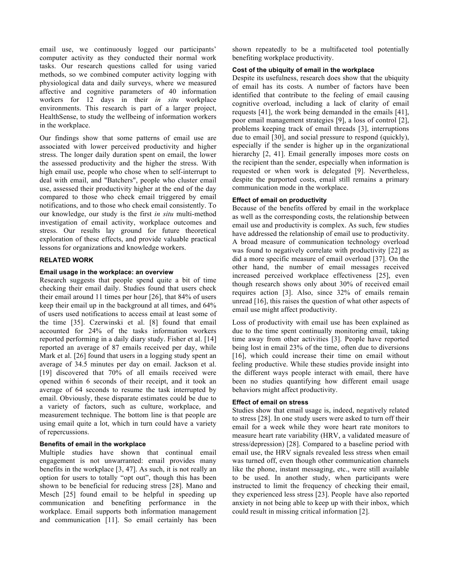email use, we continuously logged our participants' computer activity as they conducted their normal work tasks. Our research questions called for using varied methods, so we combined computer activity logging with physiological data and daily surveys, where we measured affective and cognitive parameters of 40 information workers for 12 days in their *in situ* workplace environments. This research is part of a larger project, HealthSense, to study the wellbeing of information workers in the workplace.

Our findings show that some patterns of email use are associated with lower perceived productivity and higher stress. The longer daily duration spent on email, the lower the assessed productivity and the higher the stress. With high email use, people who chose when to self-interrupt to deal with email, and "Batchers", people who cluster email use, assessed their productivity higher at the end of the day compared to those who check email triggered by email notifications, and to those who check email consistently. To our knowledge, our study is the first *in situ* multi-method investigation of email activity, workplace outcomes and stress. Our results lay ground for future theoretical exploration of these effects, and provide valuable practical lessons for organizations and knowledge workers.

# **RELATED WORK**

### **Email usage in the workplace: an overview**

Research suggests that people spend quite a bit of time checking their email daily. Studies found that users check their email around 11 times per hour [26], that 84% of users keep their email up in the background at all times, and 64% of users used notifications to access email at least some of the time [35]. Czerwinski et al. [8] found that email accounted for 24% of the tasks information workers reported performing in a daily diary study. Fisher et al. [14] reported an average of 87 emails received per day, while Mark et al. [26] found that users in a logging study spent an average of 34.5 minutes per day on email. Jackson et al. [19] discovered that 70% of all emails received were opened within 6 seconds of their receipt, and it took an average of 64 seconds to resume the task interrupted by email. Obviously, these disparate estimates could be due to a variety of factors, such as culture, workplace, and measurement technique. The bottom line is that people are using email quite a lot, which in turn could have a variety of repercussions.

# **Benefits of email in the workplace**

Multiple studies have shown that continual email engagement is not unwarranted: email provides many benefits in the workplace [3, 47]. As such, it is not really an option for users to totally "opt out", though this has been shown to be beneficial for reducing stress [28]. Mano and Mesch [25] found email to be helpful in speeding up communication and benefiting performance in the workplace. Email supports both information management and communication [11]. So email certainly has been

shown repeatedly to be a multifaceted tool potentially benefiting workplace productivity.

# **Cost of the ubiquity of email in the workplace**

Despite its usefulness, research does show that the ubiquity of email has its costs. A number of factors have been identified that contribute to the feeling of email causing cognitive overload, including a lack of clarity of email requests [41], the work being demanded in the emails [41], poor email management strategies [9], a loss of control [2], problems keeping track of email threads [3], interruptions due to email [30], and social pressure to respond (quickly), especially if the sender is higher up in the organizational hierarchy [2, 41]. Email generally imposes more costs on the recipient than the sender, especially when information is requested or when work is delegated [9]. Nevertheless, despite the purported costs, email still remains a primary communication mode in the workplace.

## **Effect of email on productivity**

Because of the benefits offered by email in the workplace as well as the corresponding costs, the relationship between email use and productivity is complex. As such, few studies have addressed the relationship of email use to productivity. A broad measure of communication technology overload was found to negatively correlate with productivity [22] as did a more specific measure of email overload [37]. On the other hand, the number of email messages received increased perceived workplace effectiveness [25], even though research shows only about 30% of received email requires action [3]. Also, since 32% of emails remain unread [16], this raises the question of what other aspects of email use might affect productivity.

Loss of productivity with email use has been explained as due to the time spent continually monitoring email, taking time away from other activities [3]. People have reported being lost in email 23% of the time, often due to diversions [16], which could increase their time on email without feeling productive. While these studies provide insight into the different ways people interact with email, there have been no studies quantifying how different email usage behaviors might affect productivity.

# **Effect of email on stress**

Studies show that email usage is, indeed, negatively related to stress [28]. In one study users were asked to turn off their email for a week while they wore heart rate monitors to measure heart rate variability (HRV, a validated measure of stress/depression) [28]. Compared to a baseline period with email use, the HRV signals revealed less stress when email was turned off, even though other communication channels like the phone, instant messaging, etc., were still available to be used. In another study, when participants were instructed to limit the frequency of checking their email, they experienced less stress [23]. People have also reported anxiety in not being able to keep up with their inbox, which could result in missing critical information [2].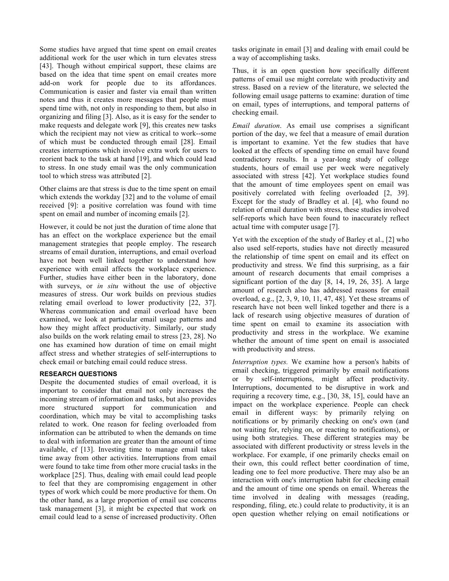Some studies have argued that time spent on email creates additional work for the user which in turn elevates stress [43]. Though without empirical support, these claims are based on the idea that time spent on email creates more add-on work for people due to its affordances. Communication is easier and faster via email than written notes and thus it creates more messages that people must spend time with, not only in responding to them, but also in organizing and filing [3]. Also, as it is easy for the sender to make requests and delegate work [9], this creates new tasks which the recipient may not view as critical to work--some of which must be conducted through email [28]. Email creates interruptions which involve extra work for users to reorient back to the task at hand [19], and which could lead to stress. In one study email was the only communication tool to which stress was attributed [2].

Other claims are that stress is due to the time spent on email which extends the workday [32] and to the volume of email received [9]: a positive correlation was found with time spent on email and number of incoming emails [2].

However, it could be not just the duration of time alone that has an effect on the workplace experience but the email management strategies that people employ. The research streams of email duration, interruptions, and email overload have not been well linked together to understand how experience with email affects the workplace experience. Further, studies have either been in the laboratory, done with surveys, or *in situ* without the use of objective measures of stress. Our work builds on previous studies relating email overload to lower productivity [22, 37]. Whereas communication and email overload have been examined, we look at particular email usage patterns and how they might affect productivity. Similarly, our study also builds on the work relating email to stress [23, 28]. No one has examined how duration of time on email might affect stress and whether strategies of self-interruptions to check email or batching email could reduce stress.

# **RESEARCH QUESTIONS**

Despite the documented studies of email overload, it is important to consider that email not only increases the incoming stream of information and tasks, but also provides more structured support for communication and coordination, which may be vital to accomplishing tasks related to work. One reason for feeling overloaded from information can be attributed to when the demands on time to deal with information are greater than the amount of time available, cf [13]. Investing time to manage email takes time away from other activities. Interruptions from email were found to take time from other more crucial tasks in the workplace [25]. Thus, dealing with email could lead people to feel that they are compromising engagement in other types of work which could be more productive for them. On the other hand, as a large proportion of email use concerns task management [3], it might be expected that work on email could lead to a sense of increased productivity. Often tasks originate in email [3] and dealing with email could be a way of accomplishing tasks.

Thus, it is an open question how specifically different patterns of email use might correlate with productivity and stress. Based on a review of the literature, we selected the following email usage patterns to examine: duration of time on email, types of interruptions, and temporal patterns of checking email.

*Email duration*. As email use comprises a significant portion of the day, we feel that a measure of email duration is important to examine. Yet the few studies that have looked at the effects of spending time on email have found contradictory results. In a year-long study of college students, hours of email use per week were negatively associated with stress [42]. Yet workplace studies found that the amount of time employees spent on email was positively correlated with feeling overloaded [2, 39]. Except for the study of Bradley et al. [4], who found no relation of email duration with stress, these studies involved self-reports which have been found to inaccurately reflect actual time with computer usage [7].

Yet with the exception of the study of Barley et al., [2] who also used self-reports, studies have not directly measured the relationship of time spent on email and its effect on productivity and stress. We find this surprising, as a fair amount of research documents that email comprises a significant portion of the day [8, 14, 19, 26, 35]. A large amount of research also has addressed reasons for email overload, e.g., [2, 3, 9, 10, 11, 47, 48]. Yet these streams of research have not been well linked together and there is a lack of research using objective measures of duration of time spent on email to examine its association with productivity and stress in the workplace. We examine whether the amount of time spent on email is associated with productivity and stress.

*Interruption types.* We examine how a person's habits of email checking, triggered primarily by email notifications or by self-interruptions, might affect productivity. Interruptions, documented to be disruptive in work and requiring a recovery time, e.g., [30, 38, 15], could have an impact on the workplace experience. People can check email in different ways: by primarily relying on notifications or by primarily checking on one's own (and not waiting for, relying on, or reacting to notifications), or using both strategies. These different strategies may be associated with different productivity or stress levels in the workplace. For example, if one primarily checks email on their own, this could reflect better coordination of time, leading one to feel more productive. There may also be an interaction with one's interruption habit for checking email and the amount of time one spends on email. Whereas the time involved in dealing with messages (reading, responding, filing, etc.) could relate to productivity, it is an open question whether relying on email notifications or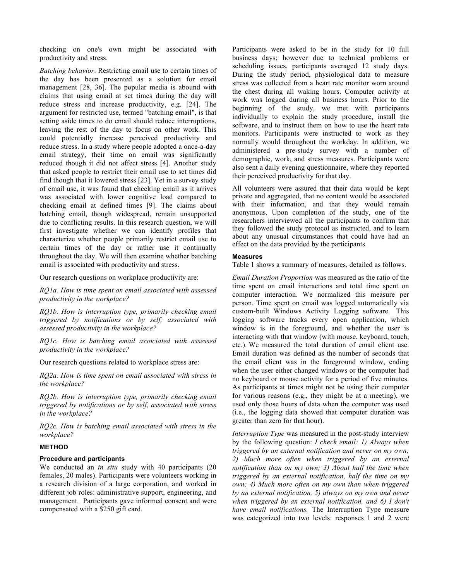checking on one's own might be associated with productivity and stress.

*Batching behavior*. Restricting email use to certain times of the day has been presented as a solution for email management [28, 36]. The popular media is abound with claims that using email at set times during the day will reduce stress and increase productivity, e.g. [24]. The argument for restricted use, termed "batching email", is that setting aside times to do email should reduce interruptions, leaving the rest of the day to focus on other work. This could potentially increase perceived productivity and reduce stress. In a study where people adopted a once-a-day email strategy, their time on email was significantly reduced though it did not affect stress [4]. Another study that asked people to restrict their email use to set times did find though that it lowered stress [23]. Yet in a survey study of email use, it was found that checking email as it arrives was associated with lower cognitive load compared to checking email at defined times [9]. The claims about batching email, though widespread, remain unsupported due to conflicting results. In this research question, we will first investigate whether we can identify profiles that characterize whether people primarily restrict email use to certain times of the day or rather use it continually throughout the day. We will then examine whether batching email is associated with productivity and stress.

Our research questions on workplace productivity are:

*RQ1a. How is time spent on email associated with assessed productivity in the workplace?*

*RQ1b. How is interruption type, primarily checking email triggered by notifications or by self, associated with assessed productivity in the workplace?*

*RQ1c. How is batching email associated with assessed productivity in the workplace?*

Our research questions related to workplace stress are:

*RQ2a. How is time spent on email associated with stress in the workplace?*

*RQ2b. How is interruption type, primarily checking email triggered by notifications or by self, associated with stress in the workplace?*

*RQ2c. How is batching email associated with stress in the workplace?*

## **METHOD**

### **Procedure and participants**

We conducted an *in situ* study with 40 participants (20 females, 20 males). Participants were volunteers working in a research division of a large corporation, and worked in different job roles: administrative support, engineering, and management. Participants gave informed consent and were compensated with a \$250 gift card.

Participants were asked to be in the study for 10 full business days; however due to technical problems or scheduling issues, participants averaged 12 study days. During the study period, physiological data to measure stress was collected from a heart rate monitor worn around the chest during all waking hours. Computer activity at work was logged during all business hours. Prior to the beginning of the study, we met with participants individually to explain the study procedure, install the software, and to instruct them on how to use the heart rate monitors. Participants were instructed to work as they normally would throughout the workday. In addition, we administered a pre-study survey with a number of demographic, work, and stress measures. Participants were also sent a daily evening questionnaire, where they reported their perceived productivity for that day.

All volunteers were assured that their data would be kept private and aggregated, that no content would be associated with their information, and that they would remain anonymous. Upon completion of the study, one of the researchers interviewed all the participants to confirm that they followed the study protocol as instructed, and to learn about any unusual circumstances that could have had an effect on the data provided by the participants.

### **Measures**

Table 1 shows a summary of measures, detailed as follows.

*Email Duration Proportion* was measured as the ratio of the time spent on email interactions and total time spent on computer interaction. We normalized this measure per person. Time spent on email was logged automatically via custom-built Windows Activity Logging software. This logging software tracks every open application, which window is in the foreground, and whether the user is interacting with that window (with mouse, keyboard, touch, etc.). We measured the total duration of email client use. Email duration was defined as the number of seconds that the email client was in the foreground window, ending when the user either changed windows or the computer had no keyboard or mouse activity for a period of five minutes. As participants at times might not be using their computer for various reasons (e.g., they might be at a meeting), we used only those hours of data when the computer was used (i.e., the logging data showed that computer duration was greater than zero for that hour).

*Interruption Type* was measured in the post-study interview by the following question: *I check email: 1) Always when triggered by an external notification and never on my own; 2) Much more often when triggered by an external notification than on my own; 3) About half the time when triggered by an external notification, half the time on my own; 4) Much more often on my own than when triggered by an external notification, 5) always on my own and never when triggered by an external notification, and 6) I don't have email notifications.* The Interruption Type measure was categorized into two levels: responses 1 and 2 were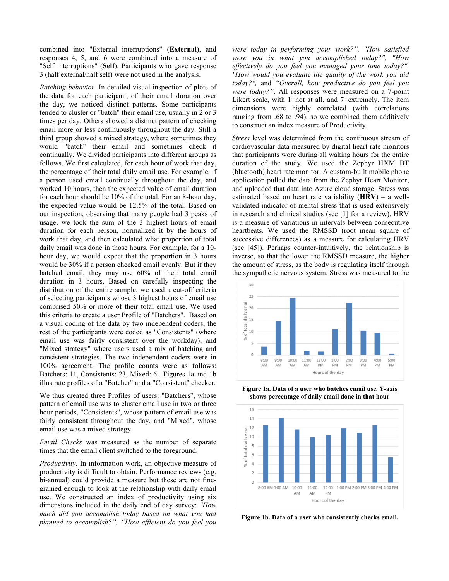combined into "External interruptions" (**External**), and responses 4, 5, and 6 were combined into a measure of "Self interruptions" (**Self**). Participants who gave response 3 (half external/half self) were not used in the analysis.

*Batching behavior.* In detailed visual inspection of plots of the data for each participant, of their email duration over the day, we noticed distinct patterns. Some participants tended to cluster or "batch" their email use, usually in 2 or 3 times per day. Others showed a distinct pattern of checking email more or less continuously throughout the day. Still a third group showed a mixed strategy, where sometimes they would "batch" their email and sometimes check it continually. We divided participants into different groups as follows. We first calculated, for each hour of work that day, the percentage of their total daily email use. For example, if a person used email continually throughout the day, and worked 10 hours, then the expected value of email duration for each hour should be 10% of the total. For an 8-hour day, the expected value would be 12.5% of the total. Based on our inspection, observing that many people had 3 peaks of usage, we took the sum of the 3 highest hours of email duration for each person, normalized it by the hours of work that day, and then calculated what proportion of total daily email was done in those hours. For example, for a 10 hour day, we would expect that the proportion in 3 hours would be 30% if a person checked email evenly. But if they batched email, they may use 60% of their total email duration in 3 hours. Based on carefully inspecting the distribution of the entire sample, we used a cut-off criteria of selecting participants whose 3 highest hours of email use comprised 50% or more of their total email use. We used this criteria to create a user Profile of "Batchers". Based on a visual coding of the data by two independent coders, the rest of the participants were coded as "Consistents" (where email use was fairly consistent over the workday), and "Mixed strategy" where users used a mix of batching and consistent strategies. The two independent coders were in 100% agreement. The profile counts were as follows: Batchers: 11, Consistents: 23, Mixed: 6. Figures 1a and 1b illustrate profiles of a "Batcher" and a "Consistent" checker.

We thus created three Profiles of users: "Batchers", whose pattern of email use was to cluster email use in two or three hour periods, "Consistents", whose pattern of email use was fairly consistent throughout the day, and "Mixed", whose email use was a mixed strategy.

*Email Checks* was measured as the number of separate times that the email client switched to the foreground.

*Productivity.* In information work, an objective measure of productivity is difficult to obtain. Performance reviews (e.g. bi-annual) could provide a measure but these are not finegrained enough to look at the relationship with daily email use. We constructed an index of productivity using six dimensions included in the daily end of day survey: *"How much did you accomplish today based on what you had planned to accomplish?", "How efficient do you feel you* 

*were today in performing your work?", "How satisfied were you in what you accomplished today?", "How effectively do you feel you managed your time today?", "How would you evaluate the quality of the work you did today?",* and *"Overall, how productive do you feel you were today?"*. All responses were measured on a 7-point Likert scale, with 1=not at all, and 7=extremely. The item dimensions were highly correlated (with correlations ranging from .68 to .94), so we combined them additively to construct an index measure of Productivity.

*Stress* level was determined from the continuous stream of cardiovascular data measured by digital heart rate monitors that participants wore during all waking hours for the entire duration of the study. We used the Zephyr HXM BT (bluetooth) heart rate monitor. A custom-built mobile phone application pulled the data from the Zephyr Heart Monitor, and uploaded that data into Azure cloud storage. Stress was estimated based on heart rate variability (**HRV**) – a wellvalidated indicator of mental stress that is used extensively in research and clinical studies (see [1] for a review). HRV is a measure of variations in intervals between consecutive heartbeats. We used the RMSSD (root mean square of successive differences) as a measure for calculating HRV (see [45]). Perhaps counter-intuitively, the relationship is inverse, so that the lower the RMSSD measure, the higher the amount of stress, as the body is regulating itself through the sympathetic nervous system. Stress was measured to the



**Figure 1a. Data of a user who batches email use. Y-axis shows percentage of daily email done in that hour**



**Figure 1b. Data of a user who consistently checks email.**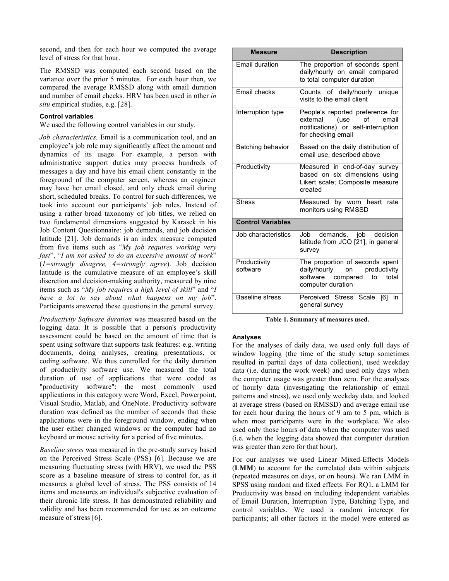second, and then for each hour we computed the average level of stress for that hour.

The RMSSD was computed each second based on the variance over the prior 5 minutes. For each hour then, we compared the average RMSSD along with email duration and number of email checks. HRV has been used in other *in situ* empirical studies, e.g. [28].

# **Control variables**

We used the following control variables in our study.

*Job characteristics.* Email is a communication tool, and an employee's job role may significantly affect the amount and dynamics of its usage. For example, a person with administrative support duties may process hundreds of messages a day and have his email client constantly in the foreground of the computer screen, whereas an engineer may have her email closed, and only check email during short, scheduled breaks. To control for such differences, we took into account our participants' job roles. Instead of using a rather broad taxonomy of job titles, we relied on two fundamental dimensions suggested by Karasek in his Job Content Questionnaire: job demands, and job decision latitude [21]. Job demands is an index measure computed from five items such as "*My job requires working very fast*", "*I am not asked to do an excessive amount of work*" (*1=strongly disagree, 4=strongly agree*). Job decision latitude is the cumulative measure of an employee's skill discretion and decision-making authority, measured by nine items such as "*My job requires a high level of skill*" and "*I have a lot to say about what happens on my job*". Participants answered these questions in the general survey.

*Productivity Software duration* was measured based on the logging data. It is possible that a person's productivity assessment could be based on the amount of time that is spent using software that supports task features: e.g. writing documents, doing analyses, creating presentations, or coding software. We thus controlled for the daily duration of productivity software use. We measured the total duration of use of applications that were coded as "productivity software": the most commonly used applications in this category were Word, Excel, Powerpoint, Visual Studio, Matlab, and OneNote. Productivity software duration was defined as the number of seconds that these applications were in the foreground window, ending when the user either changed windows or the computer had no keyboard or mouse activity for a period of five minutes.

*Baseline stress* was measured in the pre-study survey based on the Perceived Stress Scale (PSS) [6]. Because we are measuring fluctuating stress (with HRV), we used the PSS score as a baseline measure of stress to control for, as it measures a global level of stress. The PSS consists of 14 items and measures an individual's subjective evaluation of their chronic life stress. It has demonstrated reliability and validity and has been recommended for use as an outcome measure of stress [6].

| <b>Measure</b>           | <b>Description</b>                                                                                                         |  |
|--------------------------|----------------------------------------------------------------------------------------------------------------------------|--|
| Email duration           | The proportion of seconds spent<br>daily/hourly on email compared<br>to total computer duration                            |  |
| Email checks             | Counts of daily/hourly unique<br>visits to the email client                                                                |  |
| Interruption type        | People's reported preference for<br>external (use of<br>email<br>notifications) or self-interruption<br>for checking email |  |
| Batching behavior        | Based on the daily distribution of<br>email use, described above                                                           |  |
| Productivity             | Measured in end-of-day survey<br>based on six dimensions using<br>Likert scale; Composite measure<br>created               |  |
| <b>Stress</b>            | Measured by worn heart<br>rate<br>monitors using RMSSD                                                                     |  |
| <b>Control Variables</b> |                                                                                                                            |  |
| Job characteristics      | demands, job decision<br>Job<br>latitude from JCQ [21], in general<br>survey                                               |  |
| Productivity<br>software | The proportion of seconds spent<br>daily/hourly on productivity<br>software compared<br>to total<br>computer duration      |  |
| <b>Baseline stress</b>   | Perceived Stress Scale<br>[6]<br>in<br>general survey                                                                      |  |

**Table 1. Summary of measures used.**

### **Analyses**

For the analyses of daily data, we used only full days of window logging (the time of the study setup sometimes resulted in partial days of data collection), used weekday data (i.e. during the work week) and used only days when the computer usage was greater than zero. For the analyses of hourly data (investigating the relationship of email patterns and stress), we used only weekday data, and looked at average stress (based on RMSSD) and average email use for each hour during the hours of 9 am to 5 pm, which is when most participants were in the workplace. We also used only those hours of data when the computer was used (i.e. when the logging data showed that computer duration was greater than zero for that hour).

For our analyses we used Linear Mixed-Effects Models (**LMM**) to account for the correlated data within subjects (repeated measures on days, or on hours). We ran LMM in SPSS using random and fixed effects. For RQ1, a LMM for Productivity was based on including independent variables of Email Duration, Interruption Type, Batching Type, and control variables. We used a random intercept for participants; all other factors in the model were entered as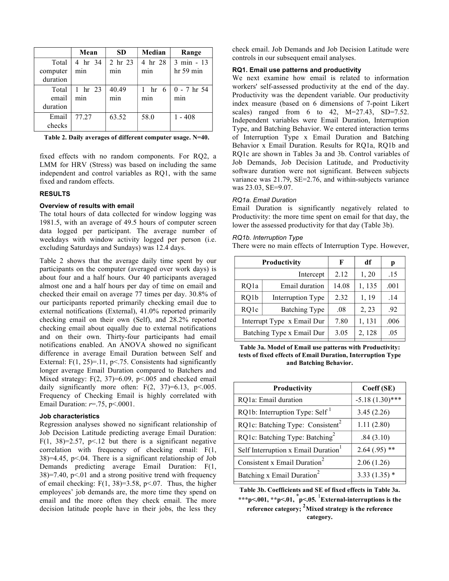|                               | Mean           | <b>SD</b>                   | Median                        | Range                             |
|-------------------------------|----------------|-----------------------------|-------------------------------|-----------------------------------|
| Total<br>computer<br>duration | 4 hr 34<br>min | 2 hr 23<br>m <sub>1</sub> n | 4 hr 28<br>m <sub>1</sub> n   | $3 \text{ min} - 13$<br>hr 59 min |
| Total<br>email<br>duration    | 1 hr 23<br>min | 40.49<br>min                | hr<br>- 6<br>m <sub>1</sub> n | $0 - 7$ hr 54<br>min              |
| Email<br>checks               | 77.27          | 63.52                       | 58.0                          | $1 - 408$                         |

**Table 2. Daily averages of different computer usage. N=40.**

fixed effects with no random components. For RQ2, a LMM for HRV (Stress) was based on including the same independent and control variables as RQ1, with the same fixed and random effects.

# **RESULTS**

# **Overview of results with email**

The total hours of data collected for window logging was 1981.5, with an average of 49.5 hours of computer screen data logged per participant. The average number of weekdays with window activity logged per person (i.e. excluding Saturdays and Sundays) was 12.4 days.

Table 2 shows that the average daily time spent by our participants on the computer (averaged over work days) is about four and a half hours. Our 40 participants averaged almost one and a half hours per day of time on email and checked their email on average 77 times per day. 30.8% of our participants reported primarily checking email due to external notifications (External), 41.0% reported primarily checking email on their own (Self), and 28.2% reported checking email about equally due to external notifications and on their own. Thirty-four participants had email notifications enabled. An ANOVA showed no significant difference in average Email Duration between Self and External:  $F(1, 25)=11$ ,  $p<.75$ . Consistents had significantly longer average Email Duration compared to Batchers and Mixed strategy:  $F(2, 37)=6.09$ ,  $p<.005$  and checked email daily significantly more often:  $F(2, 37)=6.13$ ,  $p<.005$ . Frequency of Checking Email is highly correlated with Email Duration: *r*=.75, p<.0001.

## **Job characteristics**

Regression analyses showed no significant relationship of Job Decision Latitude predicting average Email Duration: F(1, 38)=2.57, p<.12 but there is a significant negative correlation with frequency of checking email: F(1,  $38$ )=4.45, p<.04. There is a significant relationship of Job Demands predicting average Email Duration: F(1,  $38$ )=7.40, p<.01 and a strong positive trend with frequency of email checking:  $F(1, 38)=3.58$ ,  $p<.07$ . Thus, the higher employees' job demands are, the more time they spend on email and the more often they check email. The more decision latitude people have in their jobs, the less they check email. Job Demands and Job Decision Latitude were controls in our subsequent email analyses.

# **RQ1. Email use patterns and productivity**

We next examine how email is related to information workers' self-assessed productivity at the end of the day. Productivity was the dependent variable. Our productivity index measure (based on 6 dimensions of 7-point Likert scales) ranged from 6 to 42, M=27.43, SD=7.52. Independent variables were Email Duration, Interruption Type, and Batching Behavior. We entered interaction terms of Interruption Type x Email Duration and Batching Behavior x Email Duration. Results for RQ1a, RQ1b and RQ1c are shown in Tables 3a and 3b. Control variables of Job Demands, Job Decision Latitude, and Productivity software duration were not significant. Between subjects variance was 21.79, SE=2.76, and within-subjects variance was 23.03, SE=9.07.

### *RQ1a. Email Duration*

Email Duration is significantly negatively related to Productivity: the more time spent on email for that day, the lower the assessed productivity for that day (Table 3b).

### *RQ1b. Interruption Type*

There were no main effects of Interruption Type. However,

| Productivity               |                          | F     | df     | р    |
|----------------------------|--------------------------|-------|--------|------|
|                            | Intercept                | 2.12  | 1, 20  | .15  |
| RQ1a                       | Email duration           | 14.08 | 1,135  | .001 |
| RQ1b                       | <b>Interruption Type</b> | 2.32  | 1, 19  | .14  |
| RQ1c                       | <b>Batching Type</b>     | .08   | 2, 23  | .92  |
| Interrupt Type x Email Dur |                          | 7.80  | 1, 131 | .006 |
| Batching Type x Email Dur  |                          | 3.05  | 2, 128 | .05  |

**Table 3a. Model of Email use patterns with Productivity: tests of fixed effects of Email Duration, Interruption Type and Batching Behavior.**

| <b>Productivity</b>                          | Coeff (SE)        |
|----------------------------------------------|-------------------|
| RQ1a: Email duration                         | $-5.18(1.30)$ *** |
| RQ1b: Interruption Type: Self <sup>1</sup>   | 3.45(2.26)        |
| RQ1c: Batching Type: Consistent <sup>2</sup> | 1.11(2.80)        |
| RQ1c: Batching Type: Batching <sup>2</sup>   | .84(3.10)         |
| Self Interruption x Email Duration           | $2.64(.95)$ **    |
| Consistent x Email Duration <sup>2</sup>     | 2.06(1.26)        |
| Batching x Email Duration <sup>2</sup>       | $3.33(1.35)$ *    |

**Table 3b. Coefficients and SE of fixed effects in Table 3a.** 

**\*\*\*p<.001, \*\*p<.01, \* p<.05.**  1 **External-interruptions is the reference category; 2 Mixed strategy is the reference category.**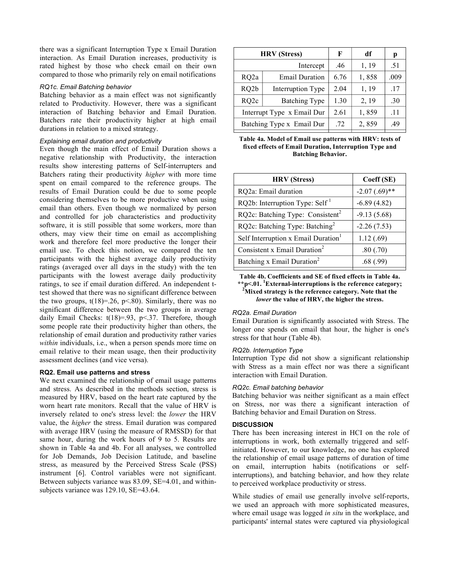there was a significant Interruption Type x Email Duration interaction. As Email Duration increases, productivity is rated highest by those who check email on their own compared to those who primarily rely on email notifications

## *RQ1c. Email Batching behavior*

Batching behavior as a main effect was not significantly related to Productivity. However, there was a significant interaction of Batching behavior and Email Duration. Batchers rate their productivity higher at high email durations in relation to a mixed strategy.

# *Explaining email duration and productivity*

Even though the main effect of Email Duration shows a negative relationship with Productivity, the interaction results show interesting patterns of Self-interrupters and Batchers rating their productivity *higher* with more time spent on email compared to the reference groups. The results of Email Duration could be due to some people considering themselves to be more productive when using email than others. Even though we normalized by person and controlled for job characteristics and productivity software, it is still possible that some workers, more than others, may view their time on email as accomplishing work and therefore feel more productive the longer their email use. To check this notion, we compared the ten participants with the highest average daily productivity ratings (averaged over all days in the study) with the ten participants with the lowest average daily productivity ratings, to see if email duration differed. An independent ttest showed that there was no significant difference between the two groups,  $t(18)=0.26$ ,  $p<.80$ . Similarly, there was no significant difference between the two groups in average daily Email Checks: t(18)=.93, p<.37. Therefore, though some people rate their productivity higher than others, the relationship of email duration and productivity rather varies *within* individuals, i.e., when a person spends more time on email relative to their mean usage, then their productivity assessment declines (and vice versa).

# **RQ2. Email use patterns and stress**

We next examined the relationship of email usage patterns and stress. As described in the methods section, stress is measured by HRV, based on the heart rate captured by the worn heart rate monitors. Recall that the value of HRV is inversely related to one's stress level: the *lower* the HRV value, the *higher* the stress. Email duration was compared with average HRV (using the measure of RMSSD) for that same hour, during the work hours of 9 to 5. Results are shown in Table 4a and 4b. For all analyses, we controlled for Job Demands, Job Decision Latitude, and baseline stress, as measured by the Perceived Stress Scale (PSS) instrument [6]. Control variables were not significant. Between subjects variance was 83.09, SE=4.01, and withinsubjects variance was 129.10, SE=43.64.

| <b>HRV</b> (Stress)        |                       | F    | df    | р    |
|----------------------------|-----------------------|------|-------|------|
|                            | Intercept             | .46  | 1, 19 | .51  |
| RQ <sub>2a</sub>           | <b>Email Duration</b> | 6.76 | 1,858 | .009 |
| RQ <sub>2</sub> b          | Interruption Type     | 2.04 | 1, 19 | .17  |
| RQ <sub>2c</sub>           | <b>Batching Type</b>  | 1.30 | 2, 19 | .30  |
| Interrupt Type x Email Dur |                       | 2.61 | 1,859 | .11  |
| Batching Type x Email Dur  |                       | .72  | 2,859 | .49  |

**Table 4a. Model of Email use patterns with HRV: tests of fixed effects of Email Duration, Interruption Type and Batching Behavior.** 

| <b>HRV</b> (Stress)                             | Coeff (SE)      |
|-------------------------------------------------|-----------------|
| RQ2a: Email duration                            | $-2.07(.69)$ ** |
| RQ2b: Interruption Type: Self <sup>1</sup>      | $-6.89(4.82)$   |
| RQ2c: Batching Type: Consistent <sup>2</sup>    | $-9.13(5.68)$   |
| RQ2c: Batching Type: Batching <sup>2</sup>      | $-2.26(7.53)$   |
| Self Interruption x Email Duration <sup>1</sup> | 1.12(.69)       |
| Consistent x Email Duration <sup>2</sup>        | .80(.70)        |
| Batching x Email Duration <sup>2</sup>          | .68(.99)        |

**Table 4b. Coefficients and SE of fixed effects in Table 4a. \*\*p<.01. 1 External-interruptions is the reference category; 2 Mixed strategy is the reference category. Note that the** 

*lower* **the value of HRV, the higher the stress.**

# *RQ2a. Email Duration*

Email Duration is significantly associated with Stress. The longer one spends on email that hour, the higher is one's stress for that hour (Table 4b).

# *RQ2b. Interruption Type*

Interruption Type did not show a significant relationship with Stress as a main effect nor was there a significant interaction with Email Duration.

# *RQ2c. Email batching behavior*

Batching behavior was neither significant as a main effect on Stress, nor was there a significant interaction of Batching behavior and Email Duration on Stress.

# **DISCUSSION**

There has been increasing interest in HCI on the role of interruptions in work, both externally triggered and selfinitiated. However, to our knowledge, no one has explored the relationship of email usage patterns of duration of time on email, interruption habits (notifications or selfinterruptions), and batching behavior, and how they relate to perceived workplace productivity or stress.

While studies of email use generally involve self-reports, we used an approach with more sophisticated measures, where email usage was logged *in situ* in the workplace, and participants' internal states were captured via physiological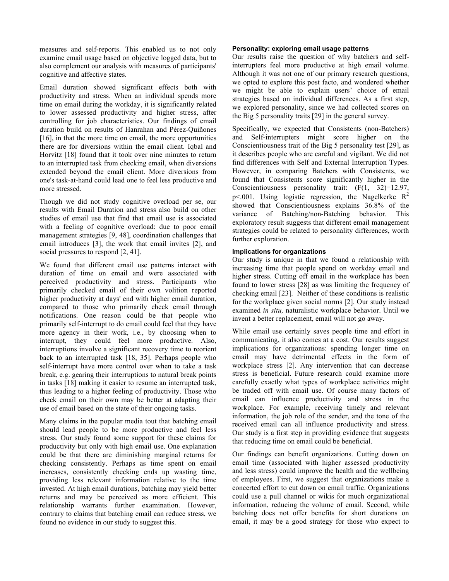measures and self-reports. This enabled us to not only examine email usage based on objective logged data, but to also complement our analysis with measures of participants' cognitive and affective states.

Email duration showed significant effects both with productivity and stress. When an individual spends more time on email during the workday, it is significantly related to lower assessed productivity and higher stress, after controlling for job characteristics. Our findings of email duration build on results of Hanrahan and Pérez-Quiñones [16], in that the more time on email, the more opportunities there are for diversions within the email client. Iqbal and Horvitz [18] found that it took over nine minutes to return to an interrupted task from checking email, when diversions extended beyond the email client. More diversions from one's task-at-hand could lead one to feel less productive and more stressed.

Though we did not study cognitive overload per se, our results with Email Duration and stress also build on other studies of email use that find that email use is associated with a feeling of cognitive overload: due to poor email management strategies [9, 48], coordination challenges that email introduces [3], the work that email invites [2], and social pressures to respond [2, 41].

We found that different email use patterns interact with duration of time on email and were associated with perceived productivity and stress. Participants who primarily checked email of their own volition reported higher productivity at days' end with higher email duration, compared to those who primarily check email through notifications. One reason could be that people who primarily self-interrupt to do email could feel that they have more agency in their work, i.e., by choosing when to interrupt, they could feel more productive. Also, interruptions involve a significant recovery time to reorient back to an interrupted task [18, 35]. Perhaps people who self-interrupt have more control over when to take a task break, e.g. gearing their interruptions to natural break points in tasks [18] making it easier to resume an interrupted task, thus leading to a higher feeling of productivity. Those who check email on their own may be better at adapting their use of email based on the state of their ongoing tasks.

Many claims in the popular media tout that batching email should lead people to be more productive and feel less stress. Our study found some support for these claims for productivity but only with high email use. One explanation could be that there are diminishing marginal returns for checking consistently. Perhaps as time spent on email increases, consistently checking ends up wasting time, providing less relevant information relative to the time invested. At high email durations, batching may yield better returns and may be perceived as more efficient. This relationship warrants further examination. However, contrary to claims that batching email can reduce stress, we found no evidence in our study to suggest this.

# **Personality: exploring email usage patterns**

Our results raise the question of why batchers and selfinterrupters feel more productive at high email volume. Although it was not one of our primary research questions, we opted to explore this post facto, and wondered whether we might be able to explain users' choice of email strategies based on individual differences. As a first step, we explored personality, since we had collected scores on the Big 5 personality traits [29] in the general survey.

Specifically, we expected that Consistents (non-Batchers) and Self-interrupters might score higher on the Conscientiousness trait of the Big 5 personality test [29], as it describes people who are careful and vigilant. We did not find differences with Self and External Interruption Types. However, in comparing Batchers with Consistents, we found that Consistents score significantly higher in the Conscientiousness personality trait: (F(1, 32)=12.97, p<.001. Using logistic regression, the Nagelkerke  $R^2$ showed that Conscientiousness explains 36.8% of the variance of Batching/non-Batching behavior. This exploratory result suggests that different email management strategies could be related to personality differences, worth further exploration.

# **Implications for organizations**

Our study is unique in that we found a relationship with increasing time that people spend on workday email and higher stress. Cutting off email in the workplace has been found to lower stress [28] as was limiting the frequency of checking email [23]. Neither of these conditions is realistic for the workplace given social norms [2]. Our study instead examined *in situ,* naturalistic workplace behavior. Until we invent a better replacement, email will not go away.

While email use certainly saves people time and effort in communicating, it also comes at a cost. Our results suggest implications for organizations: spending longer time on email may have detrimental effects in the form of workplace stress [2]. Any intervention that can decrease stress is beneficial. Future research could examine more carefully exactly what types of workplace activities might be traded off with email use. Of course many factors of email can influence productivity and stress in the workplace. For example, receiving timely and relevant information, the job role of the sender, and the tone of the received email can all influence productivity and stress. Our study is a first step in providing evidence that suggests that reducing time on email could be beneficial.

Our findings can benefit organizations. Cutting down on email time (associated with higher assessed productivity and less stress) could improve the health and the wellbeing of employees. First, we suggest that organizations make a concerted effort to cut down on email traffic. Organizations could use a pull channel or wikis for much organizational information, reducing the volume of email. Second, while batching does not offer benefits for short durations on email, it may be a good strategy for those who expect to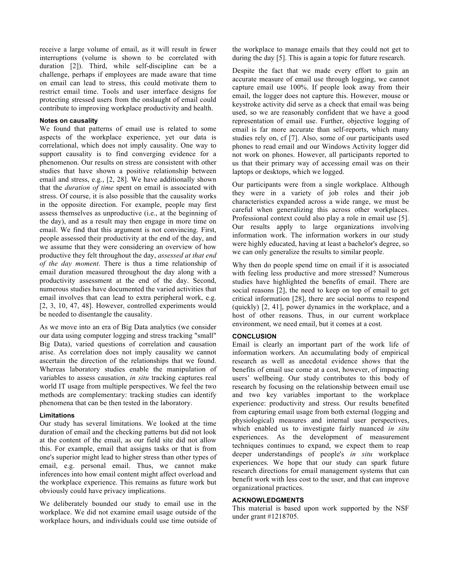receive a large volume of email, as it will result in fewer interruptions (volume is shown to be correlated with duration [2]). Third, while self-discipline can be a challenge, perhaps if employees are made aware that time on email can lead to stress, this could motivate them to restrict email time. Tools and user interface designs for protecting stressed users from the onslaught of email could contribute to improving workplace productivity and health.

# **Notes on causality**

We found that patterns of email use is related to some aspects of the workplace experience, yet our data is correlational, which does not imply causality. One way to support causality is to find converging evidence for a phenomenon. Our results on stress are consistent with other studies that have shown a positive relationship between email and stress, e.g., [2, 28]. We have additionally shown that the *duration of time* spent on email is associated with stress. Of course, it is also possible that the causality works in the opposite direction. For example, people may first assess themselves as unproductive (i.e., at the beginning of the day), and as a result may then engage in more time on email. We find that this argument is not convincing. First, people assessed their productivity at the end of the day, and we assume that they were considering an overview of how productive they felt throughout the day, *assessed at that end of the day moment*. There is thus a time relationship of email duration measured throughout the day along with a productivity assessment at the end of the day. Second, numerous studies have documented the varied activities that email involves that can lead to extra peripheral work, e.g. [2, 3, 10, 47, 48]. However, controlled experiments would be needed to disentangle the causality.

As we move into an era of Big Data analytics (we consider our data using computer logging and stress tracking "small" Big Data), varied questions of correlation and causation arise. As correlation does not imply causality we cannot ascertain the direction of the relationships that we found. Whereas laboratory studies enable the manipulation of variables to assess causation, *in situ* tracking captures real world IT usage from multiple perspectives. We feel the two methods are complementary: tracking studies can identify phenomena that can be then tested in the laboratory.

## **Limitations**

Our study has several limitations. We looked at the time duration of email and the checking patterns but did not look at the content of the email, as our field site did not allow this. For example, email that assigns tasks or that is from one's superior might lead to higher stress than other types of email, e.g. personal email. Thus, we cannot make inferences into how email content might affect overload and the workplace experience. This remains as future work but obviously could have privacy implications.

We deliberately bounded our study to email use in the workplace. We did not examine email usage outside of the workplace hours, and individuals could use time outside of the workplace to manage emails that they could not get to during the day [5]. This is again a topic for future research.

Despite the fact that we made every effort to gain an accurate measure of email use through logging, we cannot capture email use 100%. If people look away from their email, the logger does not capture this. However, mouse or keystroke activity did serve as a check that email was being used, so we are reasonably confident that we have a good representation of email use. Further, objective logging of email is far more accurate than self-reports, which many studies rely on, cf [7]. Also, some of our participants used phones to read email and our Windows Activity logger did not work on phones. However, all participants reported to us that their primary way of accessing email was on their laptops or desktops, which we logged.

Our participants were from a single workplace. Although they were in a variety of job roles and their job characteristics expanded across a wide range, we must be careful when generalizing this across other workplaces. Professional context could also play a role in email use [5]. Our results apply to large organizations involving information work. The information workers in our study were highly educated, having at least a bachelor's degree, so we can only generalize the results to similar people.

Why then do people spend time on email if it is associated with feeling less productive and more stressed? Numerous studies have highlighted the benefits of email. There are social reasons [2], the need to keep on top of email to get critical information [28], there are social norms to respond (quickly) [2, 41], power dynamics in the workplace, and a host of other reasons. Thus, in our current workplace environment, we need email, but it comes at a cost.

# **CONCLUSION**

Email is clearly an important part of the work life of information workers. An accumulating body of empirical research as well as anecdotal evidence shows that the benefits of email use come at a cost, however, of impacting users' wellbeing. Our study contributes to this body of research by focusing on the relationship between email use and two key variables important to the workplace experience: productivity and stress. Our results benefited from capturing email usage from both external (logging and physiological) measures and internal user perspectives, which enabled us to investigate fairly nuanced *in situ* experiences. As the development of measurement techniques continues to expand, we expect them to reap deeper understandings of people's *in situ* workplace experiences. We hope that our study can spark future research directions for email management systems that can benefit work with less cost to the user, and that can improve organizational practices.

# **ACKNOWLEDGMENTS**

This material is based upon work supported by the NSF under grant #1218705.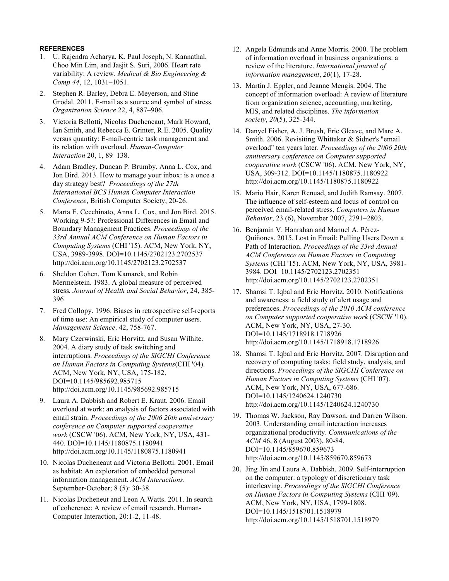# **REFERENCES**

- 1. U. Rajendra Acharya, K. Paul Joseph, N. Kannathal, Choo Min Lim, and Jasjit S. Suri, 2006. Heart rate variability: A review. *Medical & Bio Engineering & Comp 44*, 12, 1031–1051.
- 2. Stephen R. Barley, Debra E. Meyerson, and Stine Grodal. 2011. E-mail as a source and symbol of stress. *Organization Science* 22, 4, 887–906.
- 3. Victoria Bellotti, Nicolas Ducheneaut, Mark Howard, Ian Smith, and Rebecca E. Grinter, R.E. 2005. Quality versus quantity: E-mail-centric task management and its relation with overload. *Human-Computer Interaction* 20, 1, 89–138.
- 4. Adam Bradley, Duncan P. Brumby, Anna L. Cox, and Jon Bird. 2013. How to manage your inbox: is a once a day strategy best? *Proceedings of the 27th International BCS Human Computer Interaction Conference*, British Computer Society, 20-26.
- 5. Marta E. Cecchinato, Anna L. Cox, and Jon Bird. 2015. Working 9-5?: Professional Differences in Email and Boundary Management Practices. *Proceedings of the 33rd Annual ACM Conference on Human Factors in Computing Systems* (CHI '15). ACM, New York, NY, USA, 3989-3998. DOI=10.1145/2702123.2702537 http://doi.acm.org/10.1145/2702123.2702537
- 6. Sheldon Cohen, Tom Kamarck, and Robin Mermelstein. 1983. A global measure of perceived stress*. Journal of Health and Social Behavior*, 24, 385- 396
- 7. Fred Collopy. 1996. Biases in retrospective self-reports of time use: An empirical study of computer users. *Management Science*. 42, 758-767.
- 8. Mary Czerwinski, Eric Horvitz, and Susan Wilhite. 2004. A diary study of task switching and interruptions. *Proceedings of the SIGCHI Conference on Human Factors in Computing Systems*(CHI '04). ACM, New York, NY, USA, 175-182. DOI=10.1145/985692.985715 http://doi.acm.org/10.1145/985692.985715
- 9. Laura A. Dabbish and Robert E. Kraut. 2006. Email overload at work: an analysis of factors associated with email strain. *Proceedings of the 2006 20th anniversary conference on Computer supported cooperative work* (CSCW '06). ACM, New York, NY, USA, 431- 440. DOI=10.1145/1180875.1180941 http://doi.acm.org/10.1145/1180875.1180941
- 10. Nicolas Ducheneaut and Victoria Bellotti. 2001. Email as habitat: An exploration of embedded personal information management. *ACM Interactions*. September-October; 8 (5): 30-38.
- 11. Nicolas Ducheneut and Leon A.Watts. 2011. In search of coherence: A review of email research. Human-Computer Interaction, 20:1-2, 11-48.
- 12. Angela Edmunds and Anne Morris. 2000. The problem of information overload in business organizations: a review of the literature. *International journal of information management*, *20*(1), 17-28.
- 13. Martin J. Eppler, and Jeanne Mengis. 2004. The concept of information overload: A review of literature from organization science, accounting, marketing, MIS, and related disciplines. *The information society*, *20*(5), 325-344.
- 14. Danyel Fisher, A. J. Brush, Eric Gleave, and Marc A. Smith. 2006. Revisiting Whittaker & Sidner's "email overload" ten years later. *Proceedings of the 2006 20th anniversary conference on Computer supported cooperative work* (CSCW '06). ACM, New York, NY, USA, 309-312. DOI=10.1145/1180875.1180922 http://doi.acm.org/10.1145/1180875.1180922
- 15. Mario Hair, Karen Renuad, and Judith Ramsay. 2007. The influence of self-esteem and locus of control on perceived email-related stress. *Computers in Human Behavior*, 23 (6), November 2007, 2791–2803.
- 16. Benjamin V. Hanrahan and Manuel A. Pérez-Quiñones. 2015. Lost in Email: Pulling Users Down a Path of Interaction. *Proceedings of the 33rd Annual ACM Conference on Human Factors in Computing Systems* (CHI '15). ACM, New York, NY, USA, 3981- 3984. DOI=10.1145/2702123.2702351 http://doi.acm.org/10.1145/2702123.2702351
- 17. Shamsi T. Iqbal and Eric Horvitz. 2010. Notifications and awareness: a field study of alert usage and preferences. *Proceedings of the 2010 ACM conference on Computer supported cooperative work* (CSCW '10). ACM, New York, NY, USA, 27-30. DOI=10.1145/1718918.1718926 http://doi.acm.org/10.1145/1718918.1718926
- 18. Shamsi T. Iqbal and Eric Horvitz. 2007. Disruption and recovery of computing tasks: field study, analysis, and directions. *Proceedings of the SIGCHI Conference on Human Factors in Computing Systems* (CHI '07). ACM, New York, NY, USA, 677-686. DOI=10.1145/1240624.1240730 http://doi.acm.org/10.1145/1240624.1240730
- 19. Thomas W. Jackson, Ray Dawson, and Darren Wilson. 2003. Understanding email interaction increases organizational productivity. *Communications of the ACM* 46, 8 (August 2003), 80-84. DOI=10.1145/859670.859673 http://doi.acm.org/10.1145/859670.859673
- 20. Jing Jin and Laura A. Dabbish. 2009. Self-interruption on the computer: a typology of discretionary task interleaving. *Proceedings of the SIGCHI Conference on Human Factors in Computing Systems* (CHI '09). ACM, New York, NY, USA, 1799-1808. DOI=10.1145/1518701.1518979 http://doi.acm.org/10.1145/1518701.1518979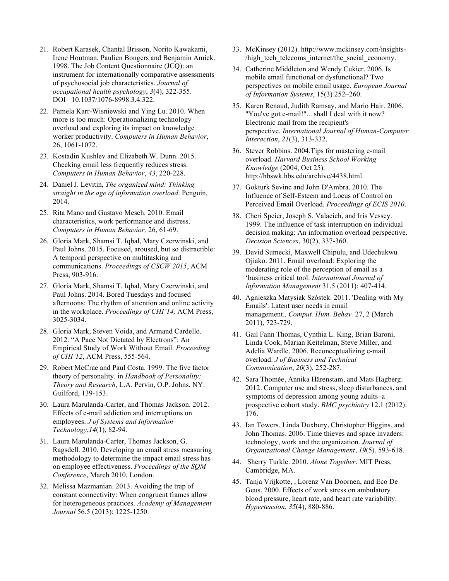- 21. Robert Karasek, Chantal Brisson, Norito Kawakami, Irene Houtman, Paulien Bongers and Benjamin Amick. 1998. The Job Content Questionnaire (JCQ): an instrument for internationally comparative assessments of psychosocial job characteristics. *Journal of occupational health psychology*, *3*(4), 322-355. DOI= 10.1037/1076-8998.3.4.322.
- 22. Pamela Karr-Wisniewski and Ying Lu. 2010. When more is too much: Operationalizing technology overload and exploring its impact on knowledge worker productivity. *Computers in Human Behavior*, 26, 1061-1072.
- 23. Kostadin Kushlev and Elizabeth W. Dunn. 2015. Checking email less frequently reduces stress. *Computers in Human Behavior*, *43*, 220-228.
- 24. Daniel J. Levitin, *The organized mind: Thinking straight in the age of information overload*. Penguin, 2014.
- 25. Rita Mano and Gustavo Mesch. 2010. Email characteristics, work performance and distress. *Computers in Human Behavior,* 26, 61-69.
- 26. Gloria Mark, Shamsi T. Iqbal, Mary Czerwinski, and Paul Johns. 2015. Focused, aroused, but so distractible: A temporal perspective on multitasking and communications. *Proceedings of CSCW 2015*, ACM Press, 903-916.
- 27. Gloria Mark, Shamsi T. Iqbal, Mary Czerwinski, and Paul Johns. 2014. Bored Tuesdays and focused afternoons: The rhythm of attention and online activity in the workplace. *Proceedings of CHI'14,* ACM Press, 3025-3034.
- 28. Gloria Mark, Steven Voida, and Armand Cardello. 2012. "A Pace Not Dictated by Electrons": An Empirical Study of Work Without Email. *Proceeding of CHI'12*, ACM Press, 555-564.
- 29. Robert McCrae and Paul Costa. 1999. The five factor theory of personality. in *Handbook of Personality: Theory and Research*, L.A. Pervin, O.P. Johns, NY: Guilford, 139-153.
- 30. Laura Marulanda-Carter, and Thomas Jackson. 2012. Effects of e-mail addiction and interruptions on employees. *J of Systems and Information Technology*,*14*(1), 82-94.
- 31. Laura Marulanda-Carter, Thomas Jackson, G. Ragsdell. 2010. Developing an email stress measuring methodology to determine the impact email stress has on employee effectiveness. *Proceedings of the SQM Conference*, March 2010, London.
- 32. Melissa Mazmanian. 2013. Avoiding the trap of constant connectivity: When congruent frames allow for heterogeneous practices. *Academy of Management Journal* 56.5 (2013): 1225-1250.
- 33. McKinsey (2012). http://www.mckinsey.com/insights- /high\_tech\_telecoms\_internet/the\_social\_economy.
- 34. Catherine Middleton and Wendy Cukier. 2006. Is mobile email functional or dysfunctional? Two perspectives on mobile email usage. *European Journal of Information Systems*, 15(3) 252–260.
- 35. Karen Renaud, Judith Ramsay, and Mario Hair. 2006. "You've got e-mail!"... shall I deal with it now? Electronic mail from the recipient's perspective. *International Journal of Human-Computer Interaction*, *21*(3), 313-332.
- 36. Stever Robbins. 2004.Tips for mastering e-mail overload. *Harvard Business School Working Knowledge* (2004, Oct 25). http://hbswk.hbs.edu/archive/4438.html.
- 37. Gokturk Sevinc and John D'Ambra. 2010. The Influence of Self-Esteem and Locus of Control on Perceived Email Overload. *Proceedings of ECIS 2010*.
- 38. Cheri Speier, Joseph S. Valacich, and Iris Vessey. 1999. The influence of task interruption on individual decision making: An information overload perspective. *Decision Sciences*, 30(2), 337-360.
- 39. David Sumecki, Maxwell Chipulu, and Udechukwu Ojiako. 2011. Email overload: Exploring the moderating role of the perception of email as a 'business critical tool. *International Journal of Information Management* 31.5 (2011): 407-414.
- 40. Agnieszka Matysiak Szóstek. 2011. 'Dealing with My Emails': Latent user needs in email management.. *Comput. Hum. Behav.* 27, 2 (March 2011), 723-729.
- 41. Gail Fann Thomas, Cynthia L. King, Brian Baroni, Linda Cook, Marian Keitelman, Steve Miller, and Adelia Wardle. 2006. Reconceptualizing e-mail overload. *J of Business and Technical Communication*, *20*(3), 252-287.
- 42. Sara Thomée, Annika Härenstam, and Mats Hagberg. 2012. Computer use and stress, sleep disturbances, and symptoms of depression among young adults–a prospective cohort study. *BMC psychiatry* 12.1 (2012): 176.
- 43. Ian Towers, Linda Duxbury, Christopher Higgins, and John Thomas. 2006. Time thieves and space invaders: technology, work and the organization. *Journal of Organizational Change Management*, *19*(5), 593-618.
- 44. Sherry Turkle. 2010. *Alone Together*. MIT Press, Cambridge, MA.
- 45. Tanja Vrijkotte, , Lorenz Van Doornen, and Eco De Geus. 2000. Effects of work stress on ambulatory blood pressure, heart rate, and heart rate variability. *Hypertension*, *35*(4), 880-886.